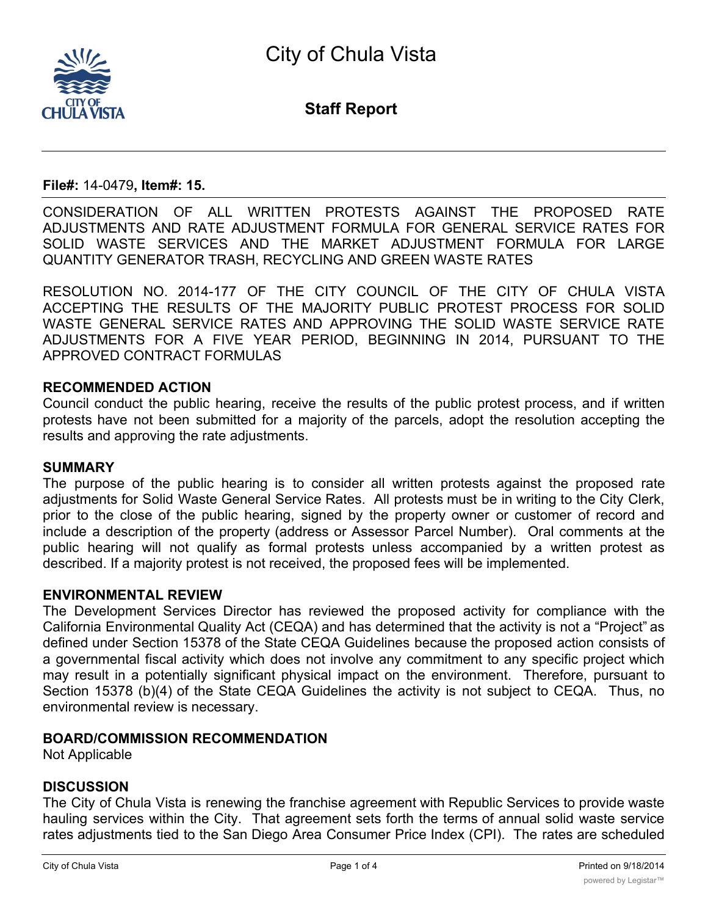

**Staff Report**

### **File#:** 14-0479**, Item#: 15.**

CONSIDERATION OF ALL WRITTEN PROTESTS AGAINST THE PROPOSED RATE ADJUSTMENTS AND RATE ADJUSTMENT FORMULA FOR GENERAL SERVICE RATES FOR SOLID WASTE SERVICES AND THE MARKET ADJUSTMENT FORMULA FOR LARGE QUANTITY GENERATOR TRASH, RECYCLING AND GREEN WASTE RATES

RESOLUTION NO. 2014-177 OF THE CITY COUNCIL OF THE CITY OF CHULA VISTA ACCEPTING THE RESULTS OF THE MAJORITY PUBLIC PROTEST PROCESS FOR SOLID WASTE GENERAL SERVICE RATES AND APPROVING THE SOLID WASTE SERVICE RATE ADJUSTMENTS FOR A FIVE YEAR PERIOD, BEGINNING IN 2014, PURSUANT TO THE APPROVED CONTRACT FORMULAS

### **RECOMMENDED ACTION**

Council conduct the public hearing, receive the results of the public protest process, and if written protests have not been submitted for a majority of the parcels, adopt the resolution accepting the results and approving the rate adjustments.

#### **SUMMARY**

The purpose of the public hearing is to consider all written protests against the proposed rate adjustments for Solid Waste General Service Rates. All protests must be in writing to the City Clerk, prior to the close of the public hearing, signed by the property owner or customer of record and include a description of the property (address or Assessor Parcel Number). Oral comments at the public hearing will not qualify as formal protests unless accompanied by a written protest as described. If a majority protest is not received, the proposed fees will be implemented.

### **ENVIRONMENTAL REVIEW**

The Development Services Director has reviewed the proposed activity for compliance with the California Environmental Quality Act (CEQA) and has determined that the activity is not a "Project" as defined under Section 15378 of the State CEQA Guidelines because the proposed action consists of a governmental fiscal activity which does not involve any commitment to any specific project which may result in a potentially significant physical impact on the environment. Therefore, pursuant to Section 15378 (b)(4) of the State CEQA Guidelines the activity is not subject to CEQA. Thus, no environmental review is necessary.

## **BOARD/COMMISSION RECOMMENDATION**

Not Applicable

# **DISCUSSION**

The City of Chula Vista is renewing the franchise agreement with Republic Services to provide waste hauling services within the City. That agreement sets forth the terms of annual solid waste service rates adjustments tied to the San Diego Area Consumer Price Index (CPI). The rates are scheduled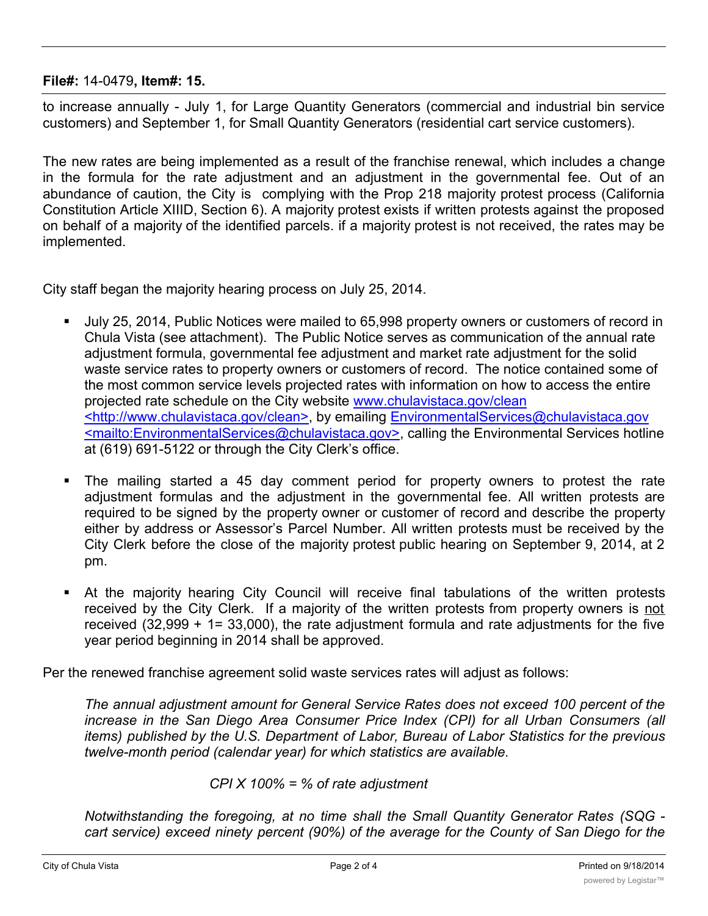**File#:** 14-0479**, Item#: 15.**

to increase annually - July 1, for Large Quantity Generators (commercial and industrial bin service customers) and September 1, for Small Quantity Generators (residential cart service customers).

The new rates are being implemented as a result of the franchise renewal, which includes a change in the formula for the rate adjustment and an adjustment in the governmental fee. Out of an abundance of caution, the City is complying with the Prop 218 majority protest process (California Constitution Article XIIID, Section 6). A majority protest exists if written protests against the proposed on behalf of a majority of the identified parcels. if a majority protest is not received, the rates may be implemented.

City staff began the majority hearing process on July 25, 2014.

- § July 25, 2014, Public Notices were mailed to 65,998 property owners or customers of record in Chula Vista (see attachment). The Public Notice serves as communication of the annual rate adjustment formula, governmental fee adjustment and market rate adjustment for the solid waste service rates to property owners or customers of record. The notice contained some of the most common service levels projected rates with information on how to access the entire projected rate schedule on the City website www.chulavistaca.gov/clean <http://www.chulavistaca.gov/clean>, by emailing EnvironmentalServices@chulavistaca.gov <mailto:EnvironmentalServices@chulavistaca.gov>, calling the Environmental Services hotline at (619) 691-5122 or through the City Clerk's office.
- The mailing started a 45 day comment period for property owners to protest the rate adjustment formulas and the adjustment in the governmental fee. All written protests are required to be signed by the property owner or customer of record and describe the property either by address or Assessor's Parcel Number. All written protests must be received by the City Clerk before the close of the majority protest public hearing on September 9, 2014, at 2 pm.
- At the majority hearing City Council will receive final tabulations of the written protests received by the City Clerk. If a majority of the written protests from property owners is not received (32,999 + 1= 33,000), the rate adjustment formula and rate adjustments for the five year period beginning in 2014 shall be approved.

Per the renewed franchise agreement solid waste services rates will adjust as follows:

*The annual adjustment amount for General Service Rates does not exceed 100 percent of the increase in the San Diego Area Consumer Price Index (CPI) for all Urban Consumers (all items) published by the U.S. Department of Labor, Bureau of Labor Statistics for the previous twelve-month period (calendar year) for which statistics are available.*

*CPI X 100% = % of rate adjustment*

*Notwithstanding the foregoing, at no time shall the Small Quantity Generator Rates (SQG cart service) exceed ninety percent (90%) of the average for the County of San Diego for the*

*same level of service after subtracting any pass-through fees or local subsidies. This*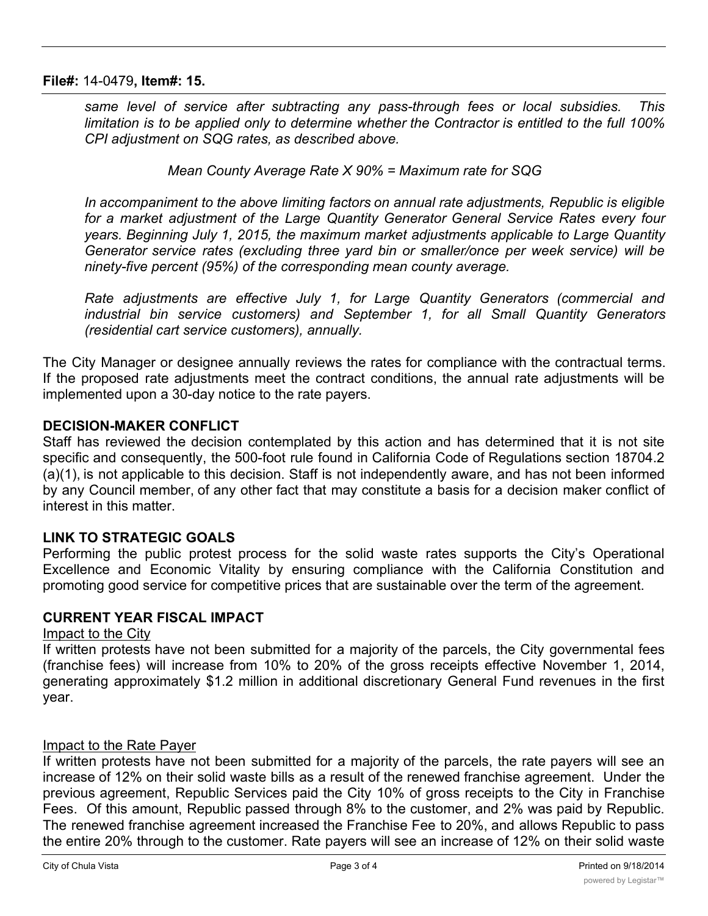### **File#:** 14-0479**, Item#: 15.**

*same level of service after subtracting any pass-through fees or local subsidies. This limitation is to be applied only to determine whether the Contractor is entitled to the full 100% CPI adjustment on SQG rates, as described above.*

*Mean County Average Rate X 90% = Maximum rate for SQG*

*In accompaniment to the above limiting factors on annual rate adjustments, Republic is eligible for a market adjustment of the Large Quantity Generator General Service Rates every four years. Beginning July 1, 2015, the maximum market adjustments applicable to Large Quantity Generator service rates (excluding three yard bin or smaller/once per week service) will be ninety-five percent (95%) of the corresponding mean county average.*

*Rate adjustments are effective July 1, for Large Quantity Generators (commercial and industrial bin service customers) and September 1, for all Small Quantity Generators (residential cart service customers), annually.*

The City Manager or designee annually reviews the rates for compliance with the contractual terms. If the proposed rate adjustments meet the contract conditions, the annual rate adjustments will be implemented upon a 30-day notice to the rate payers.

## **DECISION-MAKER CONFLICT**

Staff has reviewed the decision contemplated by this action and has determined that it is not site specific and consequently, the 500-foot rule found in California Code of Regulations section 18704.2 (a)(1), is not applicable to this decision. Staff is not independently aware, and has not been informed by any Council member, of any other fact that may constitute a basis for a decision maker conflict of interest in this matter.

# **LINK TO STRATEGIC GOALS**

Performing the public protest process for the solid waste rates supports the City's Operational Excellence and Economic Vitality by ensuring compliance with the California Constitution and promoting good service for competitive prices that are sustainable over the term of the agreement.

# **CURRENT YEAR FISCAL IMPACT**

## Impact to the City

If written protests have not been submitted for a majority of the parcels, the City governmental fees (franchise fees) will increase from 10% to 20% of the gross receipts effective November 1, 2014, generating approximately \$1.2 million in additional discretionary General Fund revenues in the first year.

## Impact to the Rate Payer

If written protests have not been submitted for a majority of the parcels, the rate payers will see an increase of 12% on their solid waste bills as a result of the renewed franchise agreement. Under the previous agreement, Republic Services paid the City 10% of gross receipts to the City in Franchise Fees. Of this amount, Republic passed through 8% to the customer, and 2% was paid by Republic. The renewed franchise agreement increased the Franchise Fee to 20%, and allows Republic to pass the entire 20% through to the customer. Rate payers will see an increase of 12% on their solid waste